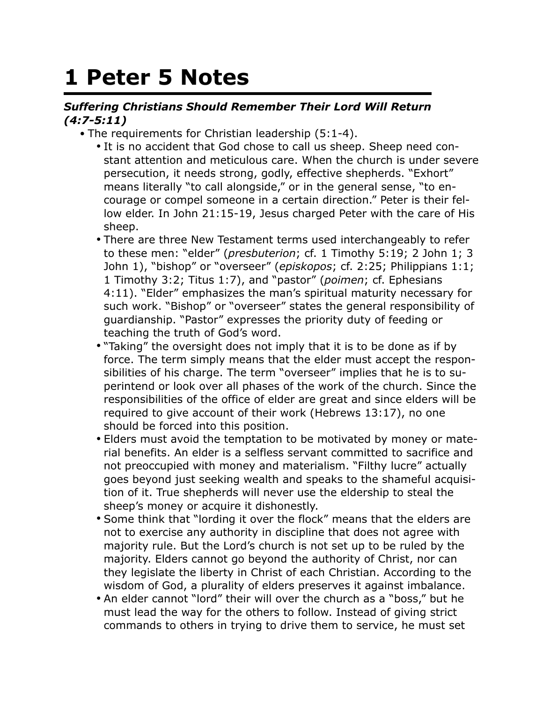## **1 Peter 5 Notes**

## *Suffering Christians Should Remember Their Lord Will Return (4:7-5:11)*

- The requirements for Christian leadership (5:1-4).
	- It is no accident that God chose to call us sheep. Sheep need constant attention and meticulous care. When the church is under severe persecution, it needs strong, godly, effective shepherds. "Exhort" means literally "to call alongside," or in the general sense, "to encourage or compel someone in a certain direction." Peter is their fellow elder. In John 21:15-19, Jesus charged Peter with the care of His sheep.
	- There are three New Testament terms used interchangeably to refer to these men: "elder" (*presbuterion*; cf. 1 Timothy 5:19; 2 John 1; 3 John 1), "bishop" or "overseer" (*episkopos*; cf. 2:25; Philippians 1:1; 1 Timothy 3:2; Titus 1:7), and "pastor" (*poimen*; cf. Ephesians 4:11). "Elder" emphasizes the man's spiritual maturity necessary for such work. "Bishop" or "overseer" states the general responsibility of guardianship. "Pastor" expresses the priority duty of feeding or teaching the truth of God's word.
	- "Taking" the oversight does not imply that it is to be done as if by force. The term simply means that the elder must accept the responsibilities of his charge. The term "overseer" implies that he is to superintend or look over all phases of the work of the church. Since the responsibilities of the office of elder are great and since elders will be required to give account of their work (Hebrews 13:17), no one should be forced into this position.
	- Elders must avoid the temptation to be motivated by money or material benefits. An elder is a selfless servant committed to sacrifice and not preoccupied with money and materialism. "Filthy lucre" actually goes beyond just seeking wealth and speaks to the shameful acquisition of it. True shepherds will never use the eldership to steal the sheep's money or acquire it dishonestly.
	- Some think that "lording it over the flock" means that the elders are not to exercise any authority in discipline that does not agree with majority rule. But the Lord's church is not set up to be ruled by the majority. Elders cannot go beyond the authority of Christ, nor can they legislate the liberty in Christ of each Christian. According to the wisdom of God, a plurality of elders preserves it against imbalance.
	- An elder cannot "lord" their will over the church as a "boss," but he must lead the way for the others to follow. Instead of giving strict commands to others in trying to drive them to service, he must set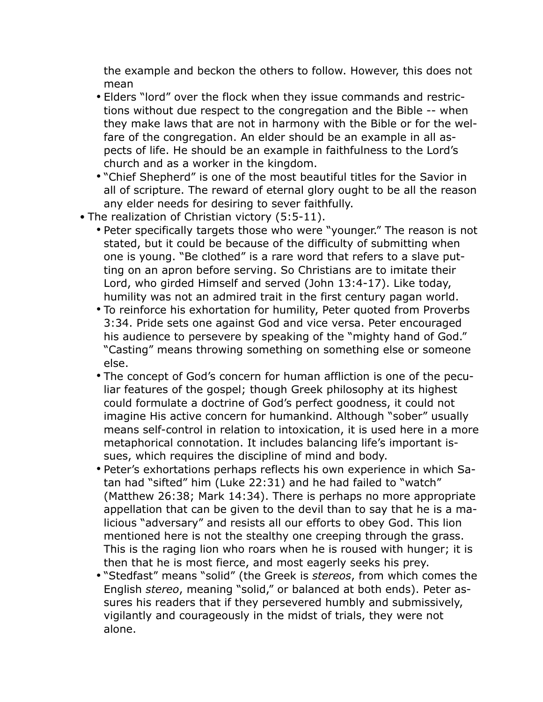the example and beckon the others to follow. However, this does not mean

- Elders "lord" over the flock when they issue commands and restrictions without due respect to the congregation and the Bible -- when they make laws that are not in harmony with the Bible or for the welfare of the congregation. An elder should be an example in all aspects of life. He should be an example in faithfulness to the Lord's church and as a worker in the kingdom.
- "Chief Shepherd" is one of the most beautiful titles for the Savior in all of scripture. The reward of eternal glory ought to be all the reason any elder needs for desiring to sever faithfully.
- The realization of Christian victory (5:5-11).
	- Peter specifically targets those who were "younger." The reason is not stated, but it could be because of the difficulty of submitting when one is young. "Be clothed" is a rare word that refers to a slave putting on an apron before serving. So Christians are to imitate their Lord, who girded Himself and served (John 13:4-17). Like today, humility was not an admired trait in the first century pagan world.
	- To reinforce his exhortation for humility, Peter quoted from Proverbs 3:34. Pride sets one against God and vice versa. Peter encouraged his audience to persevere by speaking of the "mighty hand of God." "Casting" means throwing something on something else or someone else.
	- The concept of God's concern for human affliction is one of the peculiar features of the gospel; though Greek philosophy at its highest could formulate a doctrine of God's perfect goodness, it could not imagine His active concern for humankind. Although "sober" usually means self-control in relation to intoxication, it is used here in a more metaphorical connotation. It includes balancing life's important issues, which requires the discipline of mind and body.
	- Peter's exhortations perhaps reflects his own experience in which Satan had "sifted" him (Luke 22:31) and he had failed to "watch" (Matthew 26:38; Mark 14:34). There is perhaps no more appropriate appellation that can be given to the devil than to say that he is a malicious "adversary" and resists all our efforts to obey God. This lion mentioned here is not the stealthy one creeping through the grass. This is the raging lion who roars when he is roused with hunger; it is then that he is most fierce, and most eagerly seeks his prey.
	- "Stedfast" means "solid" (the Greek is *stereos*, from which comes the English *stereo*, meaning "solid," or balanced at both ends). Peter assures his readers that if they persevered humbly and submissively, vigilantly and courageously in the midst of trials, they were not alone.